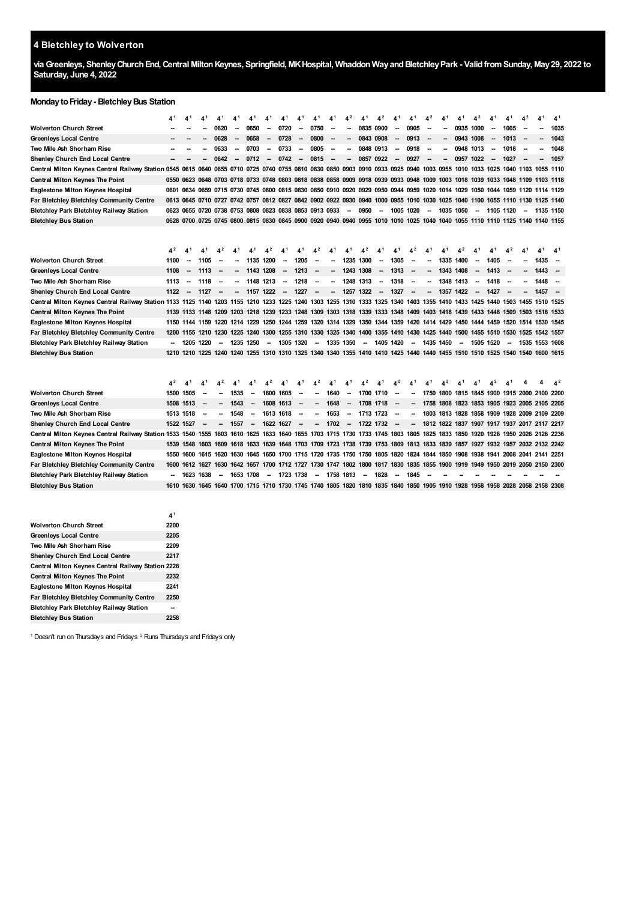# **Bletchley to Wolverton**

**viaGreenleys, ShenleyChurchEnd,Central MiltonKeynes, Springfield, MKHospital, WhaddonWayandBletchleyPark - ValidfromSunday, May29, 2022 to Saturday, June 4, 2022**

## **MondaytoFriday- BletchleyBus Station**

|                                                                                                                                                                            |                        |                                                        |           |                          |           |                          |                          | 4                        |                          |                          |                          |                          |                             | $4^2$                    |                                | 4'                                                                                                                           |                          |           |           | $4^2$                                              |                        |        |                | 41             | 4 <sup>1</sup> |
|----------------------------------------------------------------------------------------------------------------------------------------------------------------------------|------------------------|--------------------------------------------------------|-----------|--------------------------|-----------|--------------------------|--------------------------|--------------------------|--------------------------|--------------------------|--------------------------|--------------------------|-----------------------------|--------------------------|--------------------------------|------------------------------------------------------------------------------------------------------------------------------|--------------------------|-----------|-----------|----------------------------------------------------|------------------------|--------|----------------|----------------|----------------|
| Wolverton Church Street                                                                                                                                                    |                        |                                                        |           | 0620                     |           | 0650                     | -                        | 0720                     | -                        | 0750                     | --                       |                          | 0835 0900                   |                          | $\overline{\phantom{a}}$       | 0905                                                                                                                         |                          |           | 0935 1000 |                                                    |                        | 1005   |                |                | 1035           |
| Greenleys Local Centre                                                                                                                                                     |                        |                                                        |           | 0628                     |           | 0658                     | --                       | 0728                     | --                       | 0800                     | --                       |                          | 0843 0908                   |                          | --                             | 0913                                                                                                                         |                          |           | 0943 1008 |                                                    |                        | 1013   |                | --             | 1043           |
| Two Mile Ash Shorham Rise                                                                                                                                                  |                        |                                                        |           | 0633                     |           | 0703                     | ۰.                       | 0733                     | -                        | 0805                     | --                       |                          | 0848 0913                   |                          | -                              | 0918                                                                                                                         | $\overline{\phantom{a}}$ |           | 0948 1013 |                                                    |                        | 1018   |                |                | 1048           |
| <b>Shenley Church End Local Centre</b>                                                                                                                                     |                        |                                                        |           | 0642                     |           | 0712                     | $\overline{\phantom{a}}$ | 0742                     | --                       | 0815                     | $\overline{\phantom{a}}$ | -                        | 0857 0922                   |                          | $\overline{\phantom{a}}$       | 0927                                                                                                                         |                          |           | 0957      | 1022                                               |                        | 1027   |                | --             | 1057           |
| Central Milton Keynes Central Railway Station 0545 0615 0640 0655 0710 0725 0740 0755 0810 0830 0850 0903                                                                  |                        |                                                        |           |                          |           |                          |                          |                          |                          |                          |                          |                          |                             |                          |                                | 0910 0933 0925 0940 1003 0955 1010 1033 1025 1040 1103 1055 1110                                                             |                          |           |           |                                                    |                        |        |                |                |                |
| <b>Central Milton Keynes The Point</b>                                                                                                                                     |                        | 0550 0623 0648 0703 0718 0733 0748 0803 0818 0838 0858 |           |                          |           |                          |                          |                          |                          |                          |                          | 0909                     |                             |                          |                                | 0918 0939 0933 0948 1009 1003 1018 1039 1033 1048 1109 1103 1118                                                             |                          |           |           |                                                    |                        |        |                |                |                |
| Eaglestone Milton Keynes Hospital                                                                                                                                          |                        |                                                        |           |                          |           |                          |                          |                          |                          |                          |                          |                          |                             |                          |                                | 0601 0634 0659 0715 0730 0745 0800 0815 0830 0850 0910 0920 0929 0950 0944 0959 1020 1014 1029 1050 1044 1059 1120 1114 1129 |                          |           |           |                                                    |                        |        |                |                |                |
| Far Bletchley Bletchley Community Centre                                                                                                                                   |                        |                                                        |           |                          |           |                          |                          |                          |                          |                          |                          |                          |                             |                          |                                | 0613 0645 0710 0727 0742 0757 0812 0827 0842 0902 0922 0930 0940 1000 0955 1010 1030 1025 1040 1100 1055 1110 1130 1125 1140 |                          |           |           |                                                    |                        |        |                |                |                |
| Bletchley Park Bletchley Railway Station                                                                                                                                   | 0623                   | 0655 0720 0738 0753 0808 0823 0838 0853 0913 0933      |           |                          |           |                          |                          |                          |                          |                          |                          | -                        | 0950                        | $\overline{\phantom{a}}$ | 1005 1020                      |                                                                                                                              |                          | 1035 1050 |           | $\overline{\phantom{a}}$                           | 1105 1120              |        | $\sim$         |                | 1135 1150      |
| <b>Bletchley Bus Station</b>                                                                                                                                               |                        |                                                        |           |                          |           |                          |                          |                          |                          |                          |                          |                          |                             |                          |                                | 0628 0700 0725 0745 0800 0815 0830 0845 0900 0920 0940 0940 0955 1010 1010 1025 1040 1040 1055 1110 1110 1125 1140 1140 1155 |                          |           |           |                                                    |                        |        |                |                |                |
|                                                                                                                                                                            | 4 <sup>2</sup>         | $4^1$                                                  | 4,        | $4^2$                    |           | 4,                       | 4 <sup>2</sup>           | 4,                       |                          | 42                       |                          | 41                       | 4 <sup>2</sup>              |                          | 4'                             | 42                                                                                                                           |                          |           |           |                                                    | $\boldsymbol{\Lambda}$ |        |                | 4 <sup>1</sup> | 4 <sup>1</sup> |
| <b>Wolverton Church Street</b>                                                                                                                                             | 1100                   | $\overline{\phantom{a}}$                               | 1105      |                          |           | 1135 1200                |                          | $\overline{\phantom{a}}$ | 1205                     | --                       |                          | 1235                     | 1300                        |                          | 1305                           |                                                                                                                              |                          | 1335      | 1400      |                                                    | 1405                   |        |                | 1435           | --             |
| Greenleys Local Centre                                                                                                                                                     | 1108                   | $\overline{\phantom{a}}$                               | 1113      | -                        |           | 1143 1208                |                          | --                       | 1213                     | -                        | --                       | 1243 1308                |                             | -                        | 1313                           | -                                                                                                                            | --                       | 1343 1408 |           | $\overline{\phantom{a}}$                           | 1413                   |        |                | 1443           |                |
| Two Mile Ash Shorham Rise                                                                                                                                                  | 1113                   |                                                        | 1118      | $\overline{\phantom{a}}$ |           | 1148 1213                |                          | --                       | 1218                     | $\sim$                   | --                       | 1248 1313                |                             |                          | 1318                           | $\overline{\phantom{a}}$                                                                                                     |                          | 1348 1413 |           | --                                                 | 1418                   |        |                | 1448           |                |
| Shenley Church End Local Centre                                                                                                                                            | 1122                   | $\overline{\phantom{a}}$                               | 1127      |                          |           | 1157 1222                |                          | --                       | 1227                     | $\sim$                   | $\overline{\phantom{a}}$ |                          | 1257 1322                   | $\sim$                   | 1327                           |                                                                                                                              |                          | 1357 1422 |           | $\overline{\phantom{a}}$                           | 1427                   |        |                | 1457           | -              |
| Central Milton Keynes Central Railway Station 1133 1125 1140 1203 1155 1210 1233 1225 1240 1303 1355 1310 1333 1325 1340 1403 1355 1410 1433 1425 1440 1503 1455 1510 1525 |                        |                                                        |           |                          |           |                          |                          |                          |                          |                          |                          |                          |                             |                          |                                |                                                                                                                              |                          |           |           |                                                    |                        |        |                |                |                |
| Central Milton Keynes The Point                                                                                                                                            |                        |                                                        |           |                          |           |                          |                          |                          |                          |                          |                          |                          |                             |                          |                                | 1139 1133 1148 1209 1203 1218 1239 1233 1248 1309 1303 1318 1339 1333 1348 1409 1403 1418 1439 1433 1448 1509 1503 1518 1533 |                          |           |           |                                                    |                        |        |                |                |                |
| Eaglestone Milton Keynes Hospital                                                                                                                                          |                        |                                                        |           |                          |           |                          |                          |                          |                          |                          |                          |                          |                             |                          |                                | 1150 1144 1159 1220 1214 1229 1250 1244 1259 1320 1314 1329 1350 1344 1359 1420 1414 1429 1450 1444 1459 1520 1514 1530 1545 |                          |           |           |                                                    |                        |        |                |                |                |
| Far Bletchley Bletchley Community Centre                                                                                                                                   | 1200                   |                                                        |           |                          |           |                          |                          |                          |                          |                          |                          |                          |                             |                          |                                | 1155 1210 1230 1225 1240 1300 1255 1310 1330 1325 1340 1400 1355 1410 1430 1425 1440 1500 1455 1510 1530 1525 1542 1557      |                          |           |           |                                                    |                        |        |                |                |                |
| Bletchley Park Bletchley Railway Station                                                                                                                                   |                        |                                                        | 1205 1220 | $\overline{\phantom{a}}$ | 1235 1250 |                          | $\overline{\phantom{a}}$ |                          | 1305 1320                | $\overline{\phantom{a}}$ | 1335 1350                |                          | -                           | 1405 1420                |                                |                                                                                                                              | 1435 1450                |           | $\sim$    | 1505 1520                                          |                        | $\sim$ | 1535 1553 1608 |                |                |
| <b>Bletchley Bus Station</b>                                                                                                                                               |                        |                                                        |           |                          |           |                          |                          |                          |                          |                          |                          |                          |                             |                          |                                | 1210 1210 1225 1240 1240 1255 1310 1310 1325 1340 1340 1355 1410 1410 1425 1440 1440 1455 1510 1510 1525 1540 1540 1600 1615 |                          |           |           |                                                    |                        |        |                |                |                |
| Wolverton Church Street                                                                                                                                                    | 4 <sup>2</sup><br>1500 | 4 <sup>1</sup><br>1505                                 |           | 4 <sup>2</sup>           | 1535      | 41                       | 4 <sup>2</sup><br>1600   | 4 <sup>1</sup><br>1605   | 41                       | 42                       | 41<br>1640               | 41                       | 4 <sup>2</sup><br>1700 1710 | 41                       | 42<br>$\overline{\phantom{a}}$ | 41                                                                                                                           | 41                       | 42        | 41        | 41<br>1750 1800 1815 1845 1900 1915 2000 2100 2200 | 4 <sup>2</sup>         | 41     |                | 4              | 4 <sup>2</sup> |
| Greenleys Local Centre                                                                                                                                                     |                        | 1508 1513                                              |           |                          | 1543      | --                       | 1608                     | 1613                     |                          | --                       | 1648                     | $\overline{\phantom{a}}$ | 1708                        | 1718                     |                                |                                                                                                                              |                          |           |           | 1758 1808 1823 1853 1905 1923 2005 2105 2205       |                        |        |                |                |                |
| Two Mile Ash Shorham Rise                                                                                                                                                  |                        | 1513 1518                                              |           |                          | 1548      | $\overline{\phantom{a}}$ | 1613 1618                |                          | $\overline{\phantom{a}}$ | --                       | 1653                     | -                        | 1713 1723                   |                          | $\overline{\phantom{a}}$       |                                                                                                                              |                          |           |           | 1803 1813 1828 1858 1909 1928 2009 2109 2209       |                        |        |                |                |                |
| Shenley Church End Local Centre                                                                                                                                            |                        | 1522 1527                                              |           |                          | 1557      | $\overline{\phantom{a}}$ | 1622 1627                |                          | <b>.</b>                 | --                       | 1702                     | $\overline{\phantom{a}}$ | 1722 1732                   |                          | $\overline{\phantom{a}}$       |                                                                                                                              |                          |           |           | 1812 1822 1837 1907 1917 1937 2017 2117 2217       |                        |        |                |                |                |
| Central Milton Keynes Central Railway Station 1533                                                                                                                         |                        | 1540 1555                                              |           |                          |           |                          |                          |                          |                          |                          |                          |                          |                             |                          |                                | 1603 1610 1625 1633 1640 1655 1703 1715 1730 1733 1745 1803 1805 1825 1833 1850 1920 1926 1950 2026 2126 2236                |                          |           |           |                                                    |                        |        |                |                |                |
| Central Milton Keynes The Point                                                                                                                                            |                        |                                                        |           |                          |           |                          |                          |                          |                          |                          |                          |                          |                             |                          |                                | 1539 1548 1603 1609 1618 1633 1639 1648 1703 1709 1723 1738 1739 1753 1809 1813 1833 1839 1857 1927 1932 1957 2032 2132 2242 |                          |           |           |                                                    |                        |        |                |                |                |
| Eaglestone Milton Keynes Hospital                                                                                                                                          |                        |                                                        |           |                          |           |                          |                          |                          |                          |                          |                          |                          |                             |                          |                                | 1550 1600 1615 1620 1630 1645 1650 1700 1715 1720 1735 1750 1750 1805 1820 1824 1844 1850 1908 1938 1941 2008 2041 2141 2251 |                          |           |           |                                                    |                        |        |                |                |                |
| Far Bletchley Bletchley Community Centre                                                                                                                                   | 1600                   |                                                        |           |                          |           |                          |                          |                          |                          |                          |                          |                          |                             |                          |                                | 1612 1627 1630 1642 1657 1700 1712 1727 1730 1747 1802 1800 1817 1830 1835 1855 1900 1919 1949 1950 2019 2050 2150 2300      |                          |           |           |                                                    |                        |        |                |                |                |
| Bletchley Park Bletchley Railway Station                                                                                                                                   |                        |                                                        | 1623 1638 | $\overline{\phantom{a}}$ | 1653 1708 |                          | --                       |                          | 1723 1738                | $\overline{\phantom{a}}$ | 1758                     | 1813                     | $\sim$                      | 1828                     | $\overline{\phantom{a}}$       | 1845                                                                                                                         |                          |           |           |                                                    |                        |        |                |                |                |
| <b>Bletchley Bus Station</b>                                                                                                                                               |                        |                                                        |           |                          |           |                          |                          |                          |                          |                          |                          |                          |                             |                          |                                | 1610 1630 1645 1640 1700 1715 1710 1730 1745 1740 1805 1820 1810 1835 1840 1850 1905 1910 1928 1958 1958 2028 2058 2158 2308 |                          |           |           |                                                    |                        |        |                |                |                |
| <b>Wolverton Church Street</b>                                                                                                                                             | 4 <sup>1</sup><br>2200 |                                                        |           |                          |           |                          |                          |                          |                          |                          |                          |                          |                             |                          |                                |                                                                                                                              |                          |           |           |                                                    |                        |        |                |                |                |
| Greenleys Local Centre                                                                                                                                                     | 2205                   |                                                        |           |                          |           |                          |                          |                          |                          |                          |                          |                          |                             |                          |                                |                                                                                                                              |                          |           |           |                                                    |                        |        |                |                |                |
| Two Mile Ash Shorham Rise                                                                                                                                                  | 2209                   |                                                        |           |                          |           |                          |                          |                          |                          |                          |                          |                          |                             |                          |                                |                                                                                                                              |                          |           |           |                                                    |                        |        |                |                |                |
| <b>Shenley Church End Local Centre</b>                                                                                                                                     | 2217                   |                                                        |           |                          |           |                          |                          |                          |                          |                          |                          |                          |                             |                          |                                |                                                                                                                              |                          |           |           |                                                    |                        |        |                |                |                |

**Central Milton Keynes Central Railway Station 2226 Central Milton Keynes The Point 2232 Eaglestone Milton Keynes Hospital Far Bletchley Bletchley Community Centre 2250 Bletchley Park Bletchley Railway Station --**

**Bletchley Bus Station**

<span id="page-0-0"></span>Doesn't run on Thursdays and Fridays  $2$  Runs Thursdays and Fridays only

<span id="page-0-1"></span>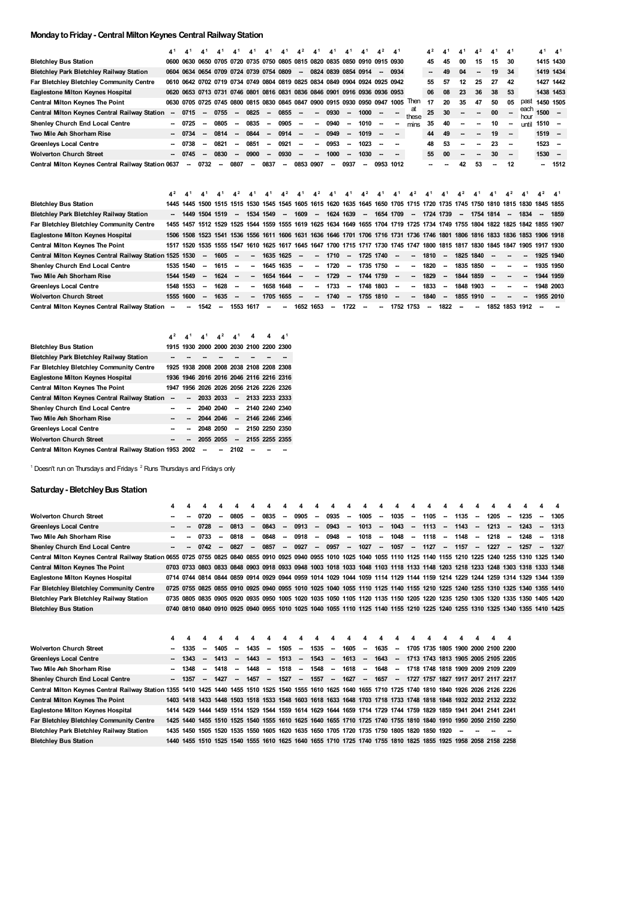# **MondaytoFriday- Central MiltonKeynes CentralRailwayStation**

|                                                    | 41     | 41             |                                                                            |                          | 41     |      | 4,1                      |      | $\mathbf{A}^2$ |        |      |                          | A <sup>1</sup>           | $\Lambda^2$ | $\mathbf{A}^1$ |                          | $\mathbf{4}^2$           | $\mathbf{4}^{1}$ | 4,1  | $\mathbf{A}^2$ |      | $\mathbf{A}^1$ |              | 4 <sup>1</sup>                                                                                                          | 4 <sup>1</sup> |
|----------------------------------------------------|--------|----------------|----------------------------------------------------------------------------|--------------------------|--------|------|--------------------------|------|----------------|--------|------|--------------------------|--------------------------|-------------|----------------|--------------------------|--------------------------|------------------|------|----------------|------|----------------|--------------|-------------------------------------------------------------------------------------------------------------------------|----------------|
| <b>Bletchley Bus Station</b>                       |        |                | 0600 0630 0650 0705 0720 0735 0750 0805 0815 0820 0835 0850 0910 0915 0930 |                          |        |      |                          |      |                |        |      |                          |                          |             |                |                          | 45                       | 45               | 00   | 15             | 15   | 30             |              | 1415 1430                                                                                                               |                |
| <b>Bletchley Park Bletchley Railway Station</b>    |        |                | 0604 0634 0654 0709 0724 0739 0754 0809                                    |                          |        |      |                          |      | $\sim$         |        |      | 0824 0839 0854 0914      |                          | $\sim$      | 0934           |                          | $\overline{\phantom{a}}$ | 49               | 04   | --             | 19   | 34             |              | 1419 1434                                                                                                               |                |
| Far Bletchley Bletchley Community Centre           |        |                | 0610 0642 0702 0719 0734 0749 0804 0819 0825 0834 0849 0904 0924 0925 0942 |                          |        |      |                          |      |                |        |      |                          |                          |             |                |                          | 55                       | 57               | 12   | 25             | 27   | 42             |              | 1427 1442                                                                                                               |                |
| Eaglestone Milton Keynes Hospital                  |        |                | 0620 0653 0713 0731 0746 0801 0816 0831 0836 0846 0901 0916 0936 0936 0953 |                          |        |      |                          |      |                |        |      |                          |                          |             |                |                          | 06                       | 08               | 23   | 36             | 38   | 53             |              | 1438 1453                                                                                                               |                |
| <b>Central Milton Keynes The Point</b>             |        |                | 0630 0705 0725 0745 0800 0815 0830 0845 0847 0900 0915 0930 0950 0947 1005 |                          |        |      |                          |      |                |        |      |                          |                          |             |                | Then                     | 17                       | 20               | 35   | 47             | 50   | 05             | past         | 1450 1505                                                                                                               |                |
| Central Milton Keynes Central Railway Station      |        | 0715           | $\overline{\phantom{a}}$                                                   | 0755                     | $\sim$ | 0825 | $\sim$                   | 0855 |                |        | 0930 |                          | 1000                     |             |                | at<br>these              | 25                       | 30               |      |                | 00   |                | each<br>hour | 1500                                                                                                                    |                |
| Shenley Church End Local Centre                    |        | 0725           | --                                                                         | 0805                     |        | 0835 | $\overline{\phantom{a}}$ | 0905 |                |        | 0940 |                          | 1010                     |             |                | mins                     | 35                       | 40               |      |                | 10   |                | until        | 1510 -                                                                                                                  |                |
| Two Mile Ash Shorham Rise                          |        | 0734           |                                                                            | 0814                     |        | 0844 |                          | 0914 |                | --     | 0949 | $\overline{\phantom{a}}$ | 1019                     |             |                |                          | 44                       | 49               |      |                | 19   | $\sim$         |              | $1519 -$                                                                                                                |                |
| <b>Greenleys Local Centre</b>                      |        | 0738           |                                                                            | 0821                     |        | 0851 | --                       | 0921 |                |        | 0953 |                          | 1023                     |             |                |                          | 48                       | 53               |      |                | 23   |                |              | 1523                                                                                                                    | $\sim$         |
| <b>Wolverton Church Street</b>                     |        | 0745           |                                                                            | 0830                     |        | 0900 |                          | 0930 |                |        | 1000 |                          | 1030                     |             |                |                          | 55                       | 00               |      | $\sim$         | 30   |                |              | $1530 -$                                                                                                                |                |
| Central Milton Keynes Central Railway Station 0637 |        | -              | 0732                                                                       | $\overline{\phantom{a}}$ | 0807   | --   | 0837                     | --   | 0853           | 0907   | --   | 0937                     |                          | 0953        | 1012           |                          |                          |                  | 42   | 53             |      | 12             |              |                                                                                                                         | 1512           |
|                                                    |        |                |                                                                            |                          |        |      |                          |      |                |        |      |                          |                          |             |                |                          |                          |                  |      |                |      |                |              |                                                                                                                         |                |
|                                                    | $4^2$  | $\mathbf{A}^1$ |                                                                            |                          |        |      |                          |      |                |        |      |                          | $\mathbf{A}^2$           |             |                |                          |                          |                  |      |                |      |                |              |                                                                                                                         | $\mathbf{A}^1$ |
| <b>Bletchley Bus Station</b>                       | 1445   | 1445           | 1500                                                                       | 1515                     | 1515   | 1530 | 1545                     | 1545 | 1605           | 1615   | 1620 | 1635                     | 1645                     | 1650        | 1705           | 1715                     | 1720                     | 1735             | 1745 | 1750           | 1810 | 1815           | 1830         | 1845 1855                                                                                                               |                |
| <b>Bletchley Park Bletchley Railway Station</b>    | $\sim$ | 1449           |                                                                            | 1504 1519                | $\sim$ | 1534 | 1549                     | --   | 1609           | $\sim$ | 1624 | 1639                     | $\overline{\phantom{a}}$ | 1654        | 1709           | $\overline{\phantom{a}}$ | 1724 1739                |                  | -    | 1754 1814      |      |                | 1834         | $\sim$                                                                                                                  | 1859           |
| Far Bletchley Bletchley Community Centre           | 1455   |                |                                                                            |                          |        |      |                          |      |                |        |      |                          |                          |             |                |                          |                          |                  |      |                |      |                |              | 1457 1512 1529 1525 1544 1559 1555 1619 1625 1634 1649 1655 1704 1719 1725 1734 1749 1755 1804 1822 1825 1842 1855 1907 |                |

| Far Bletchley Bletchley Community Centre                |           |           |        |          |           |        |        |                 |           |                               |          |                   | 1455 1457 1512 1529 1525 1544 1559 1555 1619 1625 1634 1649 1655 1704 1719 1725 1734 1749 1755 1804 1822 1825 1842 1855 1907 |        |                        |                     |        |                                 |                           |           |           |
|---------------------------------------------------------|-----------|-----------|--------|----------|-----------|--------|--------|-----------------|-----------|-------------------------------|----------|-------------------|------------------------------------------------------------------------------------------------------------------------------|--------|------------------------|---------------------|--------|---------------------------------|---------------------------|-----------|-----------|
| Eaglestone Milton Keynes Hospital                       |           |           |        |          |           |        |        |                 |           |                               |          |                   | 1506 1508 1523 1541 1536 1556 1611 1606 1631 1636 1646 1701 1706 1716 1731 1736 1746 1801 1806 1816 1833 1836 1853 1906 1918 |        |                        |                     |        |                                 |                           |           |           |
| Central Milton Keynes The Point                         |           |           |        |          |           |        |        |                 |           |                               |          |                   | 1517 1520 1535 1555 1547 1610 1625 1617 1645 1647 1700 1715 1717 1730 1745 1747 1800 1815 1817 1830 1845 1847 1905 1917 1930 |        |                        |                     |        |                                 |                           |           |           |
| Central Milton Keynes Central Railway Station 1525 1530 |           |           |        |          |           |        |        |                 |           | - 1605 - - 1635 1625 - - 1710 |          |                   | -- 1725 1740 -                                                                                                               | $\sim$ | 1810 - 1825 1840 - - - |                     |        |                                 |                           |           | 1925 1940 |
| Shenley Church End Local Centre                         |           | 1535 1540 | $\sim$ | 1615 –   |           | $\sim$ |        | 1645 1635 -     |           | -- 1720                       | $\sim$   |                   | 1735 1750 -                                                                                                                  | $\sim$ | 1820 –                 | 1835 1850 - - -     |        |                                 |                           | 1935 1950 |           |
| Two Mile Ash Shorham Rise                               |           | 1544 1549 | $\sim$ | $1624 -$ |           |        |        | -- 1654 1644 -- |           | -- 1729                       |          |                   | -- 1744 1759 --                                                                                                              | $\sim$ | 1829 - 1844 1859       |                     |        | the contract of the contract of | $\sim$                    | 1944 1959 |           |
| Greenleys Local Centre                                  | 1548 1553 |           | -      | $1628 -$ |           | $\sim$ |        | 1658 1648 -     |           | -- 1733                       | $\sim$   | 1748 1803         | $\sim$ 100 $\mu$                                                                                                             | $\sim$ | $1833 -$               |                     |        |                                 | 1848 1903 - - - 1948 2003 |           |           |
| <b>Wolverton Church Street</b>                          |           | 1555 1600 | $\sim$ | $1635 -$ |           |        |        | -- 1705 1655 -  |           | $-1740$                       | $\sim$   | 1755 1810         | $\sim$ 100 $\mu$                                                                                                             | $\sim$ | $1840 -$               | - 1855 1910 - - - - |        |                                 |                           |           | 1955 2010 |
| Central Milton Keynes Central Railway Station -         |           |           | - 1542 | $\sim$   | 1553 1617 |        | $\sim$ | $\sim$          | 1652 1653 |                               | - 1722 - | $\sim$ 100 $\sim$ | 1752 1753                                                                                                                    |        | $\sim$                 | 1822 –              | $\sim$ |                                 | 1852 1853 1912            |           | $\sim$    |

|                                                         | $\mathbf{A}^2$ | $\mathbf{A}^1$ |           | $\mathbf{A}^1$ $\mathbf{A}^2$ | 4 <sup>1</sup>           | 4 | 4                                       | 41 |
|---------------------------------------------------------|----------------|----------------|-----------|-------------------------------|--------------------------|---|-----------------------------------------|----|
| <b>Bletchley Bus Station</b>                            |                |                |           |                               |                          |   | 1915 1930 2000 2000 2030 2100 2200 2300 |    |
| <b>Bletchley Park Bletchley Railway Station</b>         |                |                |           |                               |                          |   |                                         |    |
| <b>Far Bletchley Bletchley Community Centre</b>         |                |                |           |                               |                          |   | 1925 1938 2008 2008 2038 2108 2208 2308 |    |
| Eaglestone Milton Keynes Hospital                       |                |                |           |                               |                          |   | 1936 1946 2016 2016 2046 2116 2216 2316 |    |
| <b>Central Milton Keynes The Point</b>                  |                |                |           |                               |                          |   | 1947 1956 2026 2026 2056 2126 2226 2326 |    |
| Central Milton Keynes Central Railway Station           |                |                | 2033 2033 |                               |                          |   | -- 2133 2233 2333                       |    |
| Shenley Church End Local Centre                         |                |                |           | 2040 2040                     |                          |   | $-214022402340$                         |    |
| Two Mile Ash Shorham Rise                               |                |                |           |                               |                          |   | 2044 2046 - 2146 2246 2346              |    |
| <b>Greenleys Local Centre</b>                           |                |                |           | 2048 2050                     | $\sim$                   |   | 2150 2250 2350                          |    |
| <b>Wolverton Church Street</b>                          |                |                |           | 2055 2055                     | $\overline{\phantom{a}}$ |   | 2155 2255 2355                          |    |
| Central Milton Keynes Central Railway Station 1953 2002 |                |                | $\sim$    |                               | 2102                     |   |                                         |    |

<sup>1</sup> Doesn't run on Thursdays and Fridays <sup>2</sup> Runs Thursdays and Fridays only

# **Saturday- BletchleyBus Station**

|                                                                                                                                                                            | 4      |                          |                                                                                                                              |                          |      |        |      |                          |      |        |         |        |            |        |      |        |                             |        |      |        |      |        |             |                          |      |
|----------------------------------------------------------------------------------------------------------------------------------------------------------------------------|--------|--------------------------|------------------------------------------------------------------------------------------------------------------------------|--------------------------|------|--------|------|--------------------------|------|--------|---------|--------|------------|--------|------|--------|-----------------------------|--------|------|--------|------|--------|-------------|--------------------------|------|
| <b>Wolverton Church Street</b>                                                                                                                                             |        | -                        | 0720                                                                                                                         | $\overline{\phantom{a}}$ | 0805 | $\sim$ | 0835 | $\overline{\phantom{a}}$ | 0905 | $\sim$ | 0935    | $\sim$ | $1005 -$   |        | 1035 | $\sim$ | 1105                        | $\sim$ | 1135 | $\sim$ | 1205 | $\sim$ | 1235        | $\overline{\phantom{a}}$ | 1305 |
| <b>Greenleys Local Centre</b>                                                                                                                                              |        |                          | 0728                                                                                                                         | $\overline{\phantom{a}}$ | 0813 | $\sim$ | 0843 | $\sim$                   | 0913 | $\sim$ | 0943    | $\sim$ | $1013 -$   |        | 1043 |        | -- 1113 -- 1143             |        |      | $\sim$ | 1213 | $\sim$ | 1243        | $\sim$                   | 1313 |
| Two Mile Ash Shorham Rise                                                                                                                                                  |        |                          | 0733                                                                                                                         | $\overline{\phantom{a}}$ | 0818 | $\sim$ | 0848 | $\overline{\phantom{a}}$ | 0918 | $\sim$ | 0948    | $\sim$ | 1018       | $\sim$ | 1048 | $\sim$ | 1118 –                      |        | 1148 | $\sim$ | 1218 | $\sim$ | 1248        | $\sim$                   | 1318 |
| <b>Shenley Church End Local Centre</b>                                                                                                                                     | $\sim$ | $\overline{\phantom{a}}$ | 0742                                                                                                                         | $\sim$                   | 0827 | $\sim$ | 0857 | $\sim$                   | 0927 |        | $-0957$ |        | -- 1027 -- |        |      |        | 1057 - 1127 - 1157 - 1227 - |        |      |        |      |        | 1257 - 1327 |                          |      |
| Central Milton Keynes Central Railway Station 0655 0725 0755 0825 0840 0855 0910 0925 0940 0955 1010 1025 1040 1055 1110 1125 1140 1155 1210 1225 1240 1255 1310 1325 1340 |        |                          |                                                                                                                              |                          |      |        |      |                          |      |        |         |        |            |        |      |        |                             |        |      |        |      |        |             |                          |      |
| <b>Central Milton Keynes The Point</b>                                                                                                                                     |        |                          | 0703 0733 0803 0833 0848 0903 0918 0933 0948 1003 1018 1033 1048 1103 1118 1133 1148 1203 1218 1233 1248 1303 1318 1333 1348 |                          |      |        |      |                          |      |        |         |        |            |        |      |        |                             |        |      |        |      |        |             |                          |      |
| Eaglestone Milton Keynes Hospital                                                                                                                                          |        |                          | 0714 0744 0814 0844 0859 0914 0929 0944 0959 1014 1029 1044 1059 1114 1129 1144 1159 1214 1229 1244 1259 1314 1329 1344 1359 |                          |      |        |      |                          |      |        |         |        |            |        |      |        |                             |        |      |        |      |        |             |                          |      |
| Far Bletchley Bletchley Community Centre                                                                                                                                   |        |                          | 0725 0755 0825 0855 0910 0925 0940 0955 1010 1025 1040 1055 1110 1125 1140 1155 1210 1225 1240 1255 1310 1325 1340 1355 1410 |                          |      |        |      |                          |      |        |         |        |            |        |      |        |                             |        |      |        |      |        |             |                          |      |
| Bletchley Park Bletchley Railway Station                                                                                                                                   |        |                          | 0735 0805 0835 0905 0920 0935 0950 1005 1020 1035 1050 1105 1120 1135 1150 1205 1220 1235 1250 1305 1320 1335 1350 1405 1420 |                          |      |        |      |                          |      |        |         |        |            |        |      |        |                             |        |      |        |      |        |             |                          |      |
| <b>Bletchley Bus Station</b>                                                                                                                                               |        |                          | 0740 0810 0840 0910 0925 0940 0955 1010 1025 1040 1055 1110 1125 1140 1155 1210 1225 1240 1255 1310 1325 1340 1355 1410 1425 |                          |      |        |      |                          |      |        |         |        |            |        |      |        |                             |        |      |        |      |        |             |                          |      |
|                                                                                                                                                                            |        |                          |                                                                                                                              |                          |      |        |      |                          |      |        |         |        |            |        |      |        |                             |        |      |        |      |        |             |                          |      |
|                                                                                                                                                                            |        |                          |                                                                                                                              |                          |      |        |      |                          |      |        |         |        |            |        |      |        |                             |        |      |        |      |        |             |                          |      |

|                                                                                                                                                             | 4      |         |        |        |        |             | 4                        | Δ                                                                                                             | Δ      | $\mathbf{A}$ | 4      |                                                       | 4      |          | 4 |  |  |                                                                                                               |
|-------------------------------------------------------------------------------------------------------------------------------------------------------------|--------|---------|--------|--------|--------|-------------|--------------------------|---------------------------------------------------------------------------------------------------------------|--------|--------------|--------|-------------------------------------------------------|--------|----------|---|--|--|---------------------------------------------------------------------------------------------------------------|
| <b>Wolverton Church Street</b>                                                                                                                              | $\sim$ | 1335    | $\sim$ | 1405   | $\sim$ | 1435        | $\sim$                   | 1505                                                                                                          | $\sim$ | 1535         | $\sim$ | 1605                                                  | $\sim$ | $1635 -$ |   |  |  | 1705 1735 1805 1900 2000 2100 2200                                                                            |
| <b>Greenleys Local Centre</b>                                                                                                                               |        | $-1343$ | $\sim$ |        |        | 1413 - 1443 | $\sim$                   | 1513                                                                                                          | $\sim$ | 1543         | $\sim$ | 1613                                                  |        |          |   |  |  | - 1643 - 1713 1743 1813 1905 2005 2105 2205                                                                   |
| Two Mile Ash Shorham Rise                                                                                                                                   |        | $-1348$ | $\sim$ | 1418   | $\sim$ | 1448        | $\overline{\phantom{a}}$ | 1518                                                                                                          | $\sim$ | 1548         | $\sim$ | 1618                                                  | $\sim$ |          |   |  |  | 1648 - 1718 1748 1818 1909 2009 2109 2209                                                                     |
| <b>Shenley Church End Local Centre</b>                                                                                                                      |        | $-1357$ |        | - 1427 |        | $- 1457$    |                          | $-1527$                                                                                                       |        | $-1557$      |        | -- 1627 -- 1657 -- 1727 1757 1827 1917 2017 2117 2217 |        |          |   |  |  |                                                                                                               |
| Central Milton Kevnes Central Railway Station 1355 1410 1425 1440 1455 1510 1525 1540 1555 1610 1625 1640 1655 1710 1725 1740 1810 1840 1926 2026 2126 2226 |        |         |        |        |        |             |                          |                                                                                                               |        |              |        |                                                       |        |          |   |  |  |                                                                                                               |
| <b>Central Milton Keynes The Point</b>                                                                                                                      |        |         |        |        |        |             |                          | 1403 1418 1433 1448 1503 1518 1533 1548 1603 1618 1633 1648 1703 1718 1733 1748 1818 1848 1932 2032 2132 2232 |        |              |        |                                                       |        |          |   |  |  |                                                                                                               |
| Eaglestone Milton Keynes Hospital                                                                                                                           |        |         |        |        |        |             |                          | 1414 1429 1444 1459 1514 1529 1544 1559 1614 1629 1644 1659 1714 1729 1744 1759 1829 1859 1941 2041 2141 2241 |        |              |        |                                                       |        |          |   |  |  |                                                                                                               |
| Far Bletchley Bletchley Community Centre                                                                                                                    |        |         |        |        |        |             |                          |                                                                                                               |        |              |        |                                                       |        |          |   |  |  | 1425 1440 1455 1510 1525 1540 1555 1610 1625 1640 1655 1710 1725 1740 1755 1810 1840 1910 1950 2050 2150 2250 |
| <b>Bletchley Park Bletchley Railway Station</b>                                                                                                             |        |         |        |        |        |             |                          | 1435 1450 1505 1520 1535 1550 1605 1620 1635 1650 1705 1720 1735 1750 1805 1820 1850 1920 -                   |        |              |        |                                                       |        |          |   |  |  |                                                                                                               |
| <b>Bletchley Bus Station</b>                                                                                                                                |        |         |        |        |        |             |                          |                                                                                                               |        |              |        |                                                       |        |          |   |  |  | 1440 1455 1510 1525 1540 1555 1610 1625 1640 1655 1710 1725 1740 1755 1810 1825 1855 1925 1958 2058 2158 2258 |